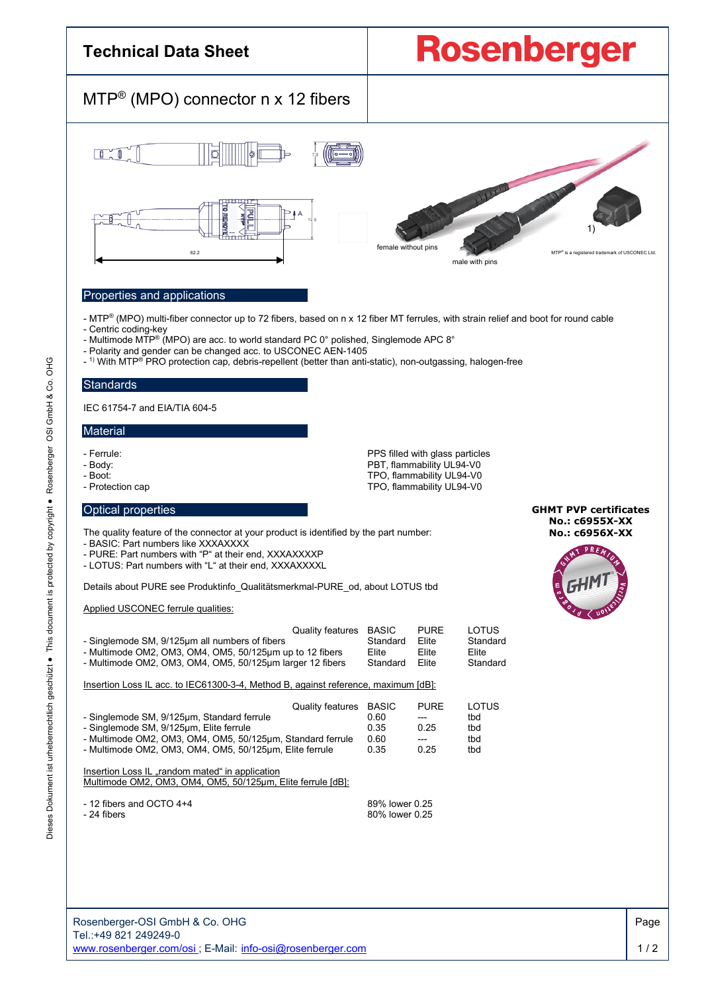